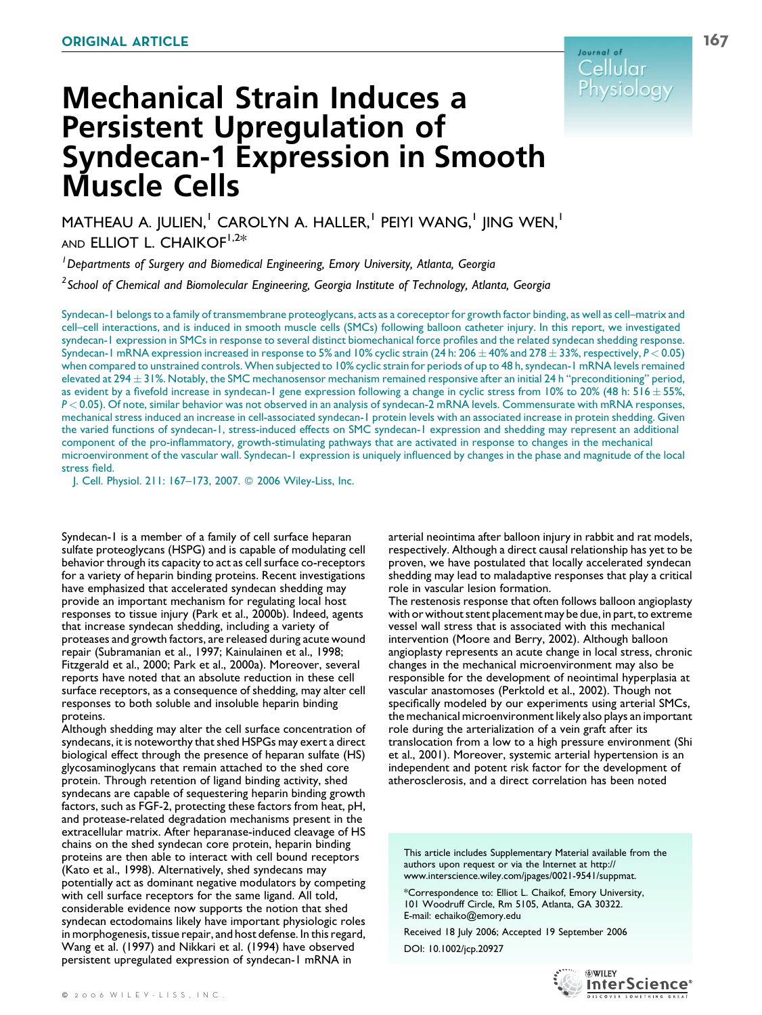

# Mechanical Strain Induces a Persistent Upregulation of Syndecan-1 Expression in Smooth Muscle Cells

MATHEAU A. JULIEN,<sup>1</sup> CAROLYN A. HALLER,<sup>1</sup> PEIYI WANG,<sup>1</sup> JING WEN,<sup>1</sup> AND ELLIOT L. CHAIKOF<sup>1,2\*</sup>

<sup>1</sup> Departments of Surgery and Biomedical Engineering, Emory University, Atlanta, Georgia

 $^2$ School of Chemical and Biomolecular Engineering, Georgia Institute of Technology, Atlanta, Georgia

Syndecan-1 belongs to a family of transmembrane proteoglycans, acts as a coreceptor for growth factor binding, as well as cell–matrix and cell–cell interactions, and is induced in smooth muscle cells (SMCs) following balloon catheter injury. In this report, we investigated syndecan-1 expression in SMCs in response to several distinct biomechanical force profiles and the related syndecan shedding response. Syndecan-1 mRNA expression increased in response to 5% and 10% cyclic strain (24 h: 206  $\pm$  40% and 278  $\pm$  33%, respectively,  $P$  < 0.05) when compared to unstrained controls. When subjected to 10% cyclic strain for periods of up to 48 h, syndecan-1 mRNA levels remained elevated at 294  $\pm$  31%. Notably, the SMC mechanosensor mechanism remained responsive after an initial 24 h "preconditioning" period, as evident by a fivefold increase in syndecan-1 gene expression following a change in cyclic stress from 10% to 20% (48 h:  $516 \pm 55$ %, P < 0.05). Of note, similar behavior was not observed in an analysis of syndecan-2 mRNA levels. Commensurate with mRNA responses, mechanical stress induced an increase in cell-associated syndecan-1 protein levels with an associated increase in protein shedding. Given the varied functions of syndecan-1, stress-induced effects on SMC syndecan-1 expression and shedding may represent an additional component of the pro-inflammatory, growth-stimulating pathways that are activated in response to changes in the mechanical microenvironment of the vascular wall. Syndecan-1 expression is uniquely influenced by changes in the phase and magnitude of the local stress field.

J. Cell. Physiol. 211: 167–173, 2007. 2006 Wiley-Liss, Inc.

Syndecan-1 is a member of a family of cell surface heparan sulfate proteoglycans (HSPG) and is capable of modulating cell behavior through its capacity to act as cell surface co-receptors for a variety of heparin binding proteins. Recent investigations have emphasized that accelerated syndecan shedding may provide an important mechanism for regulating local host responses to tissue injury (Park et al., 2000b). Indeed, agents that increase syndecan shedding, including a variety of proteases and growth factors, are released during acute wound repair (Subramanian et al., 1997; Kainulainen et al., 1998; Fitzgerald et al., 2000; Park et al., 2000a). Moreover, several reports have noted that an absolute reduction in these cell surface receptors, as a consequence of shedding, may alter cell responses to both soluble and insoluble heparin binding proteins.

Although shedding may alter the cell surface concentration of syndecans, it is noteworthy that shed HSPGs may exert a direct biological effect through the presence of heparan sulfate (HS) glycosaminoglycans that remain attached to the shed core protein. Through retention of ligand binding activity, shed syndecans are capable of sequestering heparin binding growth factors, such as FGF-2, protecting these factors from heat, pH, and protease-related degradation mechanisms present in the extracellular matrix. After heparanase-induced cleavage of HS chains on the shed syndecan core protein, heparin binding proteins are then able to interact with cell bound receptors (Kato et al., 1998). Alternatively, shed syndecans may potentially act as dominant negative modulators by competing with cell surface receptors for the same ligand. All told, considerable evidence now supports the notion that shed syndecan ectodomains likely have important physiologic roles in morphogenesis, tissue repair, and host defense. In this regard, Wang et al. (1997) and Nikkari et al. (1994) have observed persistent upregulated expression of syndecan-1 mRNA in

arterial neointima after balloon injury in rabbit and rat models, respectively. Although a direct causal relationship has yet to be proven, we have postulated that locally accelerated syndecan shedding may lead to maladaptive responses that play a critical role in vascular lesion formation.

The restenosis response that often follows balloon angioplasty with or without stent placement may be due, in part, to extreme vessel wall stress that is associated with this mechanical intervention (Moore and Berry, 2002). Although balloon angioplasty represents an acute change in local stress, chronic changes in the mechanical microenvironment may also be responsible for the development of neointimal hyperplasia at vascular anastomoses (Perktold et al., 2002). Though not specifically modeled by our experiments using arterial SMCs, the mechanical microenvironment likely also plays an important role during the arterialization of a vein graft after its translocation from a low to a high pressure environment (Shi et al., 2001). Moreover, systemic arterial hypertension is an independent and potent risk factor for the development of atherosclerosis, and a direct correlation has been noted

This article includes Supplementary Material available from the authors upon request or via the Internet at http:// www.interscience.wiley.com/jpages/0021-9541/suppmat.

\*Correspondence to: Elliot L. Chaikof, Emory University, 101 Woodruff Circle, Rm 5105, Atlanta, GA 30322. E-mail: echaiko@emory.edu

Received 18 July 2006; Accepted 19 September 2006 DOI: 10.1002/jcp.20927



**WILEY** 

InterScience®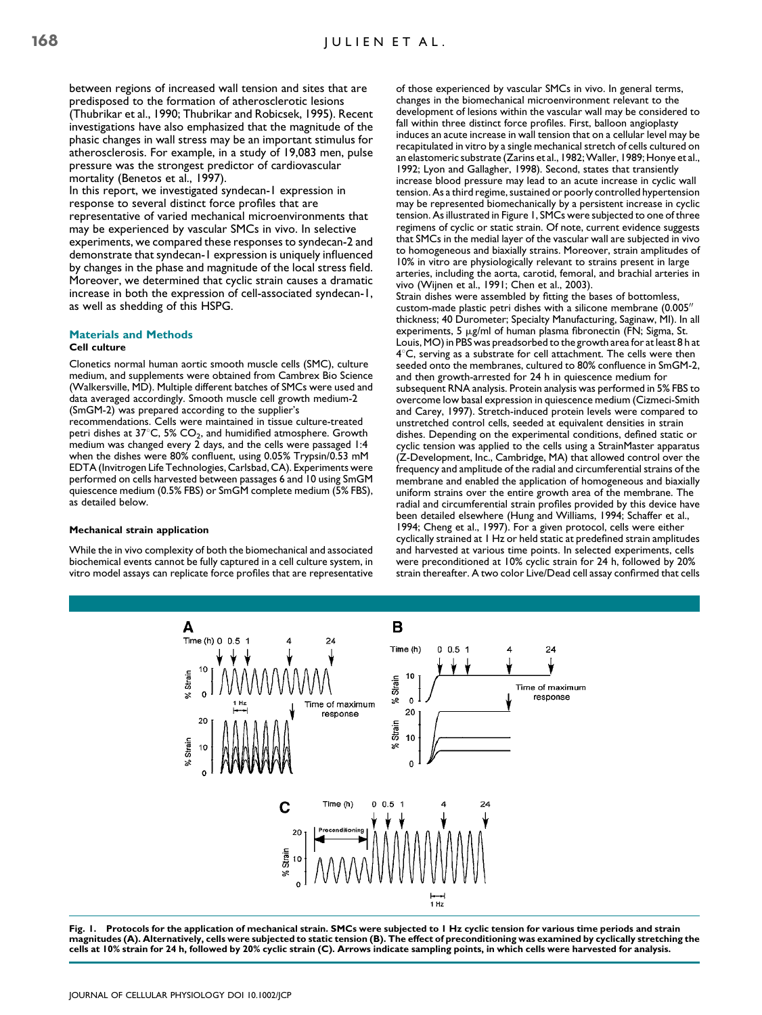between regions of increased wall tension and sites that are predisposed to the formation of atherosclerotic lesions (Thubrikar et al., 1990; Thubrikar and Robicsek, 1995). Recent investigations have also emphasized that the magnitude of the phasic changes in wall stress may be an important stimulus for atherosclerosis. For example, in a study of 19,083 men, pulse pressure was the strongest predictor of cardiovascular mortality (Benetos et al., 1997).

In this report, we investigated syndecan-1 expression in response to several distinct force profiles that are representative of varied mechanical microenvironments that may be experienced by vascular SMCs in vivo. In selective experiments, we compared these responses to syndecan-2 and demonstrate that syndecan-1 expression is uniquely influenced by changes in the phase and magnitude of the local stress field. Moreover, we determined that cyclic strain causes a dramatic increase in both the expression of cell-associated syndecan-1, as well as shedding of this HSPG.

# Materials and Methods

# Cell culture

Clonetics normal human aortic smooth muscle cells (SMC), culture medium, and supplements were obtained from Cambrex Bio Science (Walkersville, MD). Multiple different batches of SMCs were used and data averaged accordingly. Smooth muscle cell growth medium-2 (SmGM-2) was prepared according to the supplier's

recommendations. Cells were maintained in tissue culture-treated petri dishes at  $37^{\circ}$ C, 5% CO<sub>2</sub>, and humidified atmosphere. Growth medium was changed every 2 days, and the cells were passaged 1:4 when the dishes were 80% confluent, using 0.05% Trypsin/0.53 mM EDTA (Invitrogen Life Technologies, Carlsbad, CA). Experiments were performed on cells harvested between passages 6 and 10 using SmGM quiescence medium (0.5% FBS) or SmGM complete medium (5% FBS), as detailed below.

#### Mechanical strain application

While the in vivo complexity of both the biomechanical and associated biochemical events cannot be fully captured in a cell culture system, in vitro model assays can replicate force profiles that are representative of those experienced by vascular SMCs in vivo. In general terms, changes in the biomechanical microenvironment relevant to the development of lesions within the vascular wall may be considered to fall within three distinct force profiles. First, balloon angioplasty induces an acute increase in wall tension that on a cellular level may be recapitulated in vitro by a single mechanical stretch of cells cultured on an elastomeric substrate (Zarins et al., 1982; Waller, 1989; Honye et al., 1992; Lyon and Gallagher, 1998). Second, states that transiently increase blood pressure may lead to an acute increase in cyclic wall tension. As a third regime, sustained or poorly controlled hypertension may be represented biomechanically by a persistent increase in cyclic tension. As illustrated in Figure 1, SMCs were subjected to one of three regimens of cyclic or static strain. Of note, current evidence suggests that SMCs in the medial layer of the vascular wall are subjected in vivo to homogeneous and biaxially strains. Moreover, strain amplitudes of 10% in vitro are physiologically relevant to strains present in large arteries, including the aorta, carotid, femoral, and brachial arteries in vivo (Wijnen et al., 1991; Chen et al., 2003).

Strain dishes were assembled by fitting the bases of bottomless, custom-made plastic petri dishes with a silicone membrane  $(0.005)$ thickness; 40 Durometer; Specialty Manufacturing, Saginaw, MI). In all experiments, 5  $\mu$ g/ml of human plasma fibronectin (FN; Sigma, St. Louis, MO) in PBS was preadsorbed to the growth area for at least 8 h at  $4^{\circ}$ C, serving as a substrate for cell attachment. The cells were then seeded onto the membranes, cultured to 80% confluence in SmGM-2, and then growth-arrested for 24 h in quiescence medium for subsequent RNA analysis. Protein analysis was performed in 5% FBS to overcome low basal expression in quiescence medium (Cizmeci-Smith and Carey, 1997). Stretch-induced protein levels were compared to unstretched control cells, seeded at equivalent densities in strain dishes. Depending on the experimental conditions, defined static or cyclic tension was applied to the cells using a StrainMaster apparatus (Z-Development, Inc., Cambridge, MA) that allowed control over the frequency and amplitude of the radial and circumferential strains of the membrane and enabled the application of homogeneous and biaxially uniform strains over the entire growth area of the membrane. The radial and circumferential strain profiles provided by this device have been detailed elsewhere (Hung and Williams, 1994; Schaffer et al., 1994; Cheng et al., 1997). For a given protocol, cells were either cyclically strained at 1 Hz or held static at predefined strain amplitudes and harvested at various time points. In selected experiments, cells were preconditioned at 10% cyclic strain for 24 h, followed by 20% strain thereafter. A two color Live/Dead cell assay confirmed that cells



Fig. 1. Protocols for the application of mechanical strain. SMCs were subjected to 1 Hz cyclic tension for various time periods and strain magnitudes (A). Alternatively, cells were subjected to static tension (B). The effect of preconditioning was examined by cyclically stretching the cells at 10% strain for 24 h, followed by 20% cyclic strain (C). Arrows indicate sampling points, in which cells were harvested for analysis.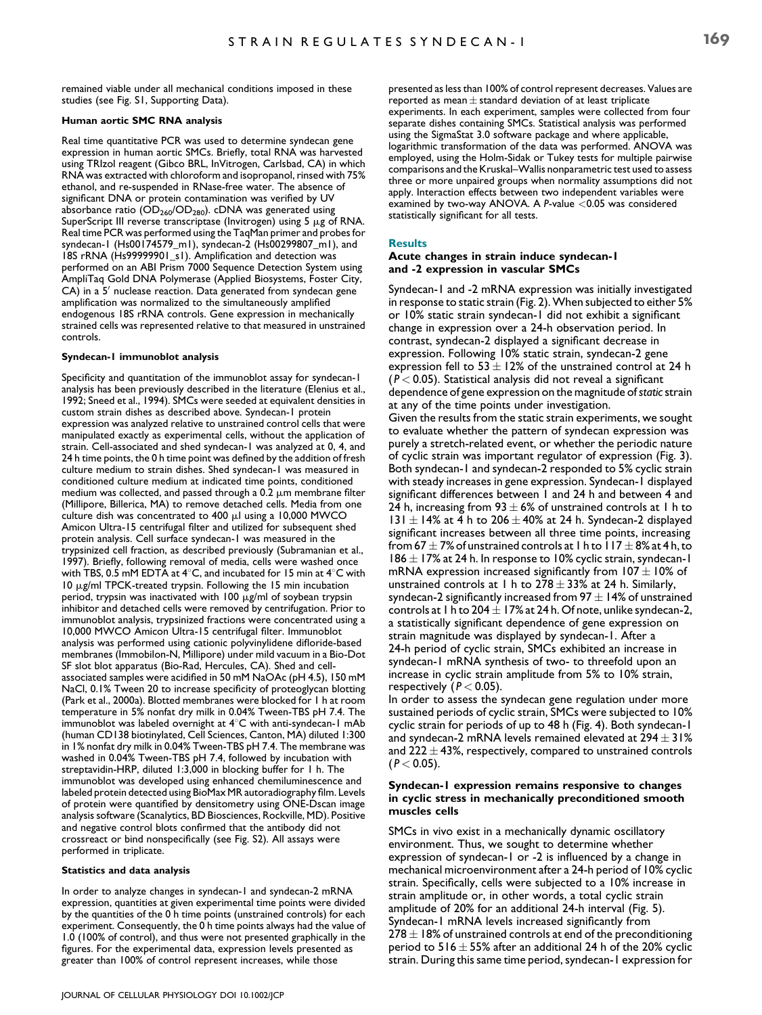remained viable under all mechanical conditions imposed in these studies (see Fig. S1, Supporting Data).

#### Human aortic SMC RNA analysis

Real time quantitative PCR was used to determine syndecan gene expression in human aortic SMCs. Briefly, total RNA was harvested using TRIzol reagent (Gibco BRL, InVitrogen, Carlsbad, CA) in which RNA was extracted with chloroform and isopropanol, rinsed with 75% ethanol, and re-suspended in RNase-free water. The absence of significant DNA or protein contamination was verified by UV absorbance ratio ( $OD<sub>260</sub>/OD<sub>280</sub>$ ). cDNA was generated using SuperScript III reverse transcriptase (Invitrogen) using 5  $\mu$ g of RNA. Real time PCR was performed using the TaqMan primer and probes for syndecan-1 (Hs00174579\_m1), syndecan-2 (Hs00299807\_m1), and 18S rRNA (Hs99999901\_s1). Amplification and detection was performed on an ABI Prism 7000 Sequence Detection System using AmpliTaq Gold DNA Polymerase (Applied Biosystems, Foster City,  $CA$ ) in a 5<sup> $\prime$ </sup> nuclease reaction. Data generated from syndecan gene amplification was normalized to the simultaneously amplified endogenous 18S rRNA controls. Gene expression in mechanically strained cells was represented relative to that measured in unstrained controls.

#### Syndecan-1 immunoblot analysis

Specificity and quantitation of the immunoblot assay for syndecan-1 analysis has been previously described in the literature (Elenius et al., 1992; Sneed et al., 1994). SMCs were seeded at equivalent densities in custom strain dishes as described above. Syndecan-1 protein expression was analyzed relative to unstrained control cells that were manipulated exactly as experimental cells, without the application of strain. Cell-associated and shed syndecan-1 was analyzed at 0, 4, and 24 h time points, the 0 h time point was defined by the addition of fresh culture medium to strain dishes. Shed syndecan-1 was measured in conditioned culture medium at indicated time points, conditioned medium was collected, and passed through a 0.2  $\mu$ m membrane filter (Millipore, Billerica, MA) to remove detached cells. Media from one culture dish was concentrated to 400  $\mu$ l using a 10,000 MWCO Amicon Ultra-15 centrifugal filter and utilized for subsequent shed protein analysis. Cell surface syndecan-1 was measured in the trypsinized cell fraction, as described previously (Subramanian et al., 1997). Briefly, following removal of media, cells were washed once with TBS, 0.5 mM EDTA at  $4^{\circ}$ C, and incubated for 15 min at  $4^{\circ}$ C with  $10 \mu$ g/ml TPCK-treated trypsin. Following the 15 min incubation period, trypsin was inactivated with  $100 \mu g/ml$  of soybean trypsin inhibitor and detached cells were removed by centrifugation. Prior to immunoblot analysis, trypsinized fractions were concentrated using a 10,000 MWCO Amicon Ultra-15 centrifugal filter. Immunoblot analysis was performed using cationic polyvinylidene difloride-based membranes (Immobilon-N, Millipore) under mild vacuum in a Bio-Dot SF slot blot apparatus (Bio-Rad, Hercules, CA). Shed and cellassociated samples were acidified in 50 mM NaOAc (pH 4.5), 150 mM NaCl, 0.1% Tween 20 to increase specificity of proteoglycan blotting (Park et al., 2000a). Blotted membranes were blocked for 1 h at room temperature in 5% nonfat dry milk in 0.04% Tween-TBS pH 7.4. The immunoblot was labeled overnight at  $4^{\circ}$ C with anti-syndecan-1 mAb (human CD138 biotinylated, Cell Sciences, Canton, MA) diluted 1:300 in 1% nonfat dry milk in 0.04% Tween-TBS pH 7.4. The membrane was washed in 0.04% Tween-TBS pH 7.4, followed by incubation with streptavidin-HRP, diluted 1:3,000 in blocking buffer for 1 h. The immunoblot was developed using enhanced chemiluminescence and labeled protein detected using BioMax MR autoradiography film. Levels of protein were quantified by densitometry using ONE-Dscan image analysis software (Scanalytics, BD Biosciences, Rockville, MD). Positive and negative control blots confirmed that the antibody did not crossreact or bind nonspecifically (see Fig. S2). All assays were performed in triplicate.

#### Statistics and data analysis

In order to analyze changes in syndecan-1 and syndecan-2 mRNA expression, quantities at given experimental time points were divided by the quantities of the 0 h time points (unstrained controls) for each experiment. Consequently, the 0 h time points always had the value of 1.0 (100% of control), and thus were not presented graphically in the figures. For the experimental data, expression levels presented as greater than 100% of control represent increases, while those

presented as less than 100% of control represent decreases. Values are reported as mean  $\pm$  standard deviation of at least triplicate experiments. In each experiment, samples were collected from four separate dishes containing SMCs. Statistical analysis was performed using the SigmaStat 3.0 software package and where applicable, logarithmic transformation of the data was performed. ANOVA was employed, using the Holm-Sidak or Tukey tests for multiple pairwise comparisons and the Kruskal–Wallis nonparametric test used to assess three or more unpaired groups when normality assumptions did not apply. Interaction effects between two independent variables were examined by two-way ANOVA. A P-value <0.05 was considered statistically significant for all tests.

# Results

### Acute changes in strain induce syndecan-1 and -2 expression in vascular SMCs

Syndecan-1 and -2 mRNA expression was initially investigated in response to static strain (Fig. 2). When subjected to either 5% or 10% static strain syndecan-1 did not exhibit a significant change in expression over a 24-h observation period. In contrast, syndecan-2 displayed a significant decrease in expression. Following 10% static strain, syndecan-2 gene expression fell to 53  $\pm$  12% of the unstrained control at 24 h  $(P < 0.05)$ . Statistical analysis did not reveal a significant dependence of gene expression on the magnitude of static strain at any of the time points under investigation. Given the results from the static strain experiments, we sought to evaluate whether the pattern of syndecan expression was purely a stretch-related event, or whether the periodic nature of cyclic strain was important regulator of expression (Fig. 3). Both syndecan-1 and syndecan-2 responded to 5% cyclic strain with steady increases in gene expression. Syndecan-1 displayed significant differences between 1 and 24 h and between 4 and 24 h, increasing from 93  $\pm$  6% of unstrained controls at 1 h to 131  $\pm$  14% at 4 h to 206  $\pm$  40% at 24 h. Syndecan-2 displayed significant increases between all three time points, increasing from 67  $\pm$  7% of unstrained controls at 1 h to 117  $\pm$  8% at 4 h, to 186  $\pm$  17% at 24 h. In response to 10% cyclic strain, syndecan-1 mRNA expression increased significantly from  $107 \pm 10\%$  of unstrained controls at 1 h to  $278 \pm 33\%$  at 24 h. Similarly, syndecan-2 significantly increased from 97  $\pm$  14% of unstrained controls at 1 h to 204  $\pm$  17% at 24 h. Of note, unlike syndecan-2, a statistically significant dependence of gene expression on strain magnitude was displayed by syndecan-1. After a 24-h period of cyclic strain, SMCs exhibited an increase in syndecan-1 mRNA synthesis of two- to threefold upon an increase in cyclic strain amplitude from 5% to 10% strain, respectively ( $P < 0.05$ ).

In order to assess the syndecan gene regulation under more sustained periods of cyclic strain, SMCs were subjected to 10% cyclic strain for periods of up to 48 h (Fig. 4). Both syndecan-1 and syndecan-2 mRNA levels remained elevated at 294  $\pm$  31% and 222  $\pm$  43%, respectively, compared to unstrained controls  $(P < 0.05)$ .

# Syndecan-1 expression remains responsive to changes in cyclic stress in mechanically preconditioned smooth muscles cells

SMCs in vivo exist in a mechanically dynamic oscillatory environment. Thus, we sought to determine whether expression of syndecan-1 or -2 is influenced by a change in mechanical microenvironment after a 24-h period of 10% cyclic strain. Specifically, cells were subjected to a 10% increase in strain amplitude or, in other words, a total cyclic strain amplitude of 20% for an additional 24-h interval (Fig. 5). Syndecan-1 mRNA levels increased significantly from  $278 \pm 18\%$  of unstrained controls at end of the preconditioning period to 516  $\pm$  55% after an additional 24 h of the 20% cyclic strain. During this same time period, syndecan-1 expression for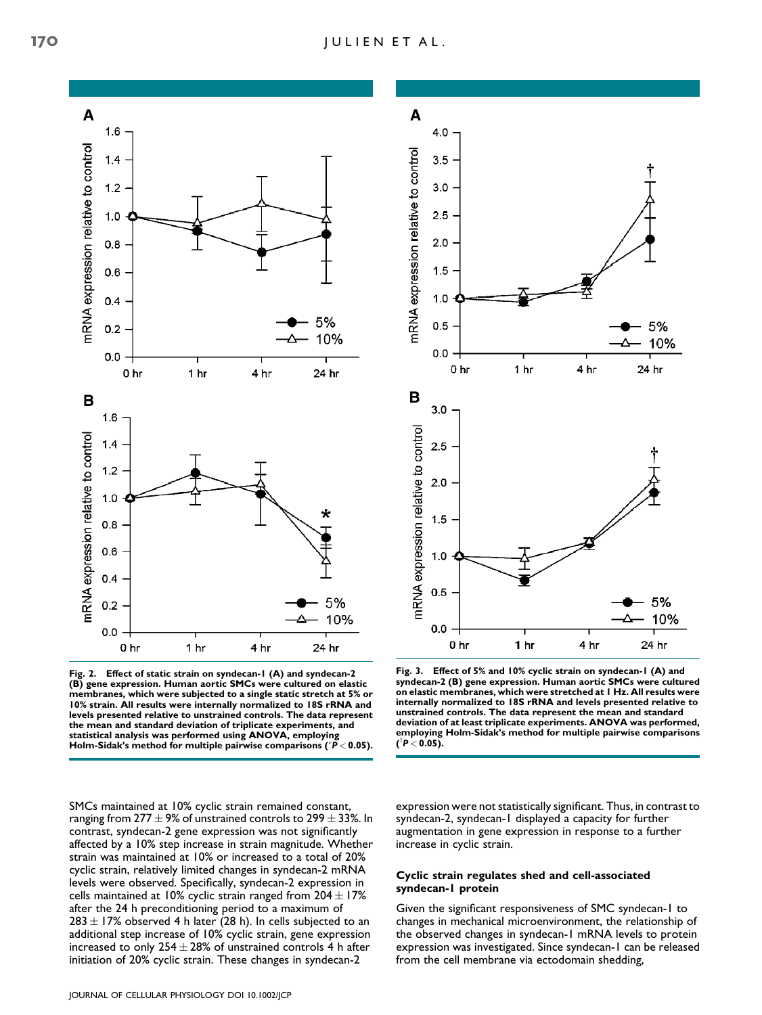

Fig. 2. Effect of static strain on syndecan-1 (A) and syndecan-2 (B) gene expression. Human aortic SMCs were cultured on elastic membranes, which were subjected to a single static stretch at 5% or 10% strain. All results were internally normalized to 18S rRNA and levels presented relative to unstrained controls. The data represent the mean and standard deviation of triplicate experiments, and statistical analysis was performed using ANOVA, employing<br>Holm-Sidak's method for multiple pairwise comparisons (\*P< 0.05).

SMCs maintained at 10% cyclic strain remained constant, ranging from  $277 \pm 9\%$  of unstrained controls to  $299 \pm 33\%$ . In contrast, syndecan-2 gene expression was not significantly affected by a 10% step increase in strain magnitude. Whether strain was maintained at 10% or increased to a total of 20% cyclic strain, relatively limited changes in syndecan-2 mRNA levels were observed. Specifically, syndecan-2 expression in cells maintained at 10% cyclic strain ranged from  $204 \pm 17\%$ after the 24 h preconditioning period to a maximum of  $283 \pm 17$ % observed 4 h later (28 h). In cells subjected to an additional step increase of 10% cyclic strain, gene expression increased to only  $254 \pm 28\%$  of unstrained controls 4 h after initiation of 20% cyclic strain. These changes in syndecan-2



Fig. 3. Effect of 5% and 10% cyclic strain on syndecan-1 (A) and syndecan-2 (B) gene expression. Human aortic SMCs were cultured on elastic membranes, which were stretched at 1 Hz. All results were internally normalized to 18S rRNA and levels presented relative to unstrained controls. The data represent the mean and standard deviation of at least triplicate experiments. ANOVA was performed, employing Holm-Sidak's method for multiple pairwise comparisons (<sup>†</sup>P < 0.05).

expression were not statistically significant. Thus, in contrast to syndecan-2, syndecan-1 displayed a capacity for further augmentation in gene expression in response to a further increase in cyclic strain.

# Cyclic strain regulates shed and cell-associated syndecan-1 protein

Given the significant responsiveness of SMC syndecan-1 to changes in mechanical microenvironment, the relationship of the observed changes in syndecan-1 mRNA levels to protein expression was investigated. Since syndecan-1 can be released from the cell membrane via ectodomain shedding,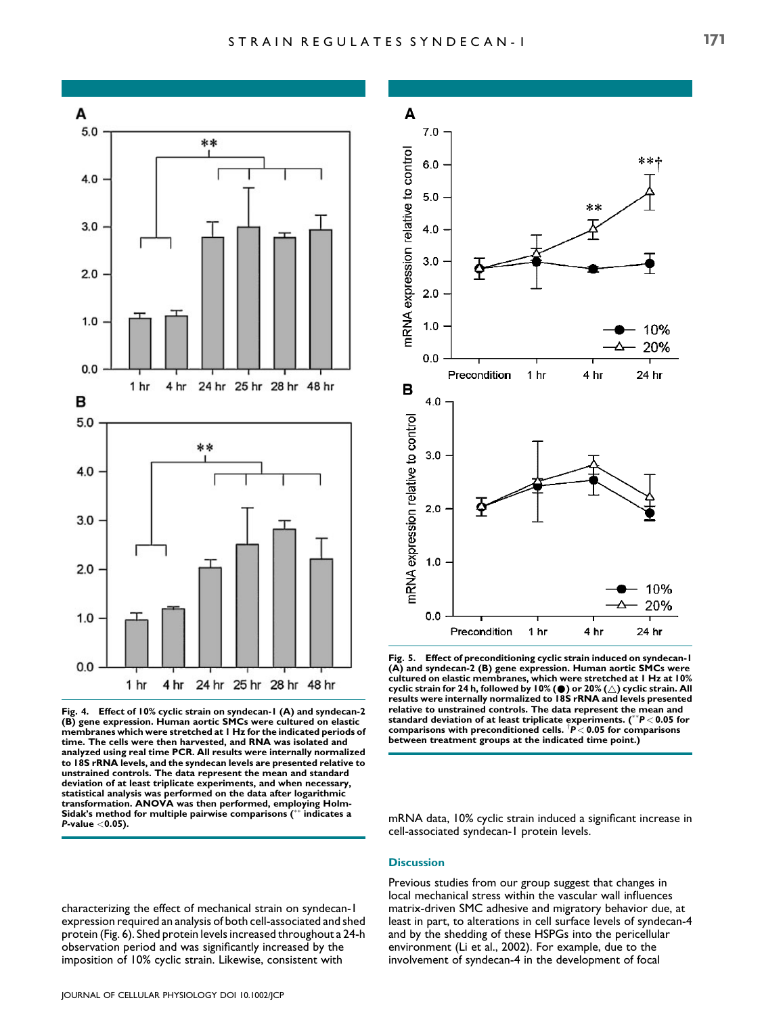

Fig. 4. Effect of 10% cyclic strain on syndecan-1 (A) and syndecan-2 (B) gene expression. Human aortic SMCs were cultured on elastic membranes which were stretched at 1 Hz for the indicated periods of time. The cells were then harvested, and RNA was isolated and analyzed using real time PCR. All results were internally normalized to 18S rRNA levels, and the syndecan levels are presented relative to unstrained controls. The data represent the mean and standard deviation of at least triplicate experiments, and when necessary, statistical analysis was performed on the data after logarithmic transformation. ANOVA was then performed, employing Holm-Sidak's method for multiple pairwise comparisons (\*\* indicates a  $P$ -value  $<$ 0.05).

characterizing the effect of mechanical strain on syndecan-1 expression required an analysis of both cell-associated and shed protein (Fig. 6). Shed protein levels increased throughout a 24-h observation period and was significantly increased by the imposition of 10% cyclic strain. Likewise, consistent with



Fig. 5. Effect of preconditioning cyclic strain induced on syndecan-1 (A) and syndecan-2 (B) gene expression. Human aortic SMCs were cultured on elastic membranes, which were stretched at 1 Hz at 10% cyclic strain for 24 h, followed by 10% (*\**) or 20% (*~*) cyclic strain. All results were internally normalized to 18S rRNA and levels presented relative to unstrained controls. The data represent the mean and standard deviation of at least triplicate experiments. (\*\* $P < 0.05$  for comparisons with preconditioned cells.  $\mathsf{P} < 0.05$  for comparisons between treatment groups at the indicated time point.)

mRNA data, 10% cyclic strain induced a significant increase in cell-associated syndecan-1 protein levels.

# **Discussion**

Previous studies from our group suggest that changes in local mechanical stress within the vascular wall influences matrix-driven SMC adhesive and migratory behavior due, at least in part, to alterations in cell surface levels of syndecan-4 and by the shedding of these HSPGs into the pericellular environment (Li et al., 2002). For example, due to the involvement of syndecan-4 in the development of focal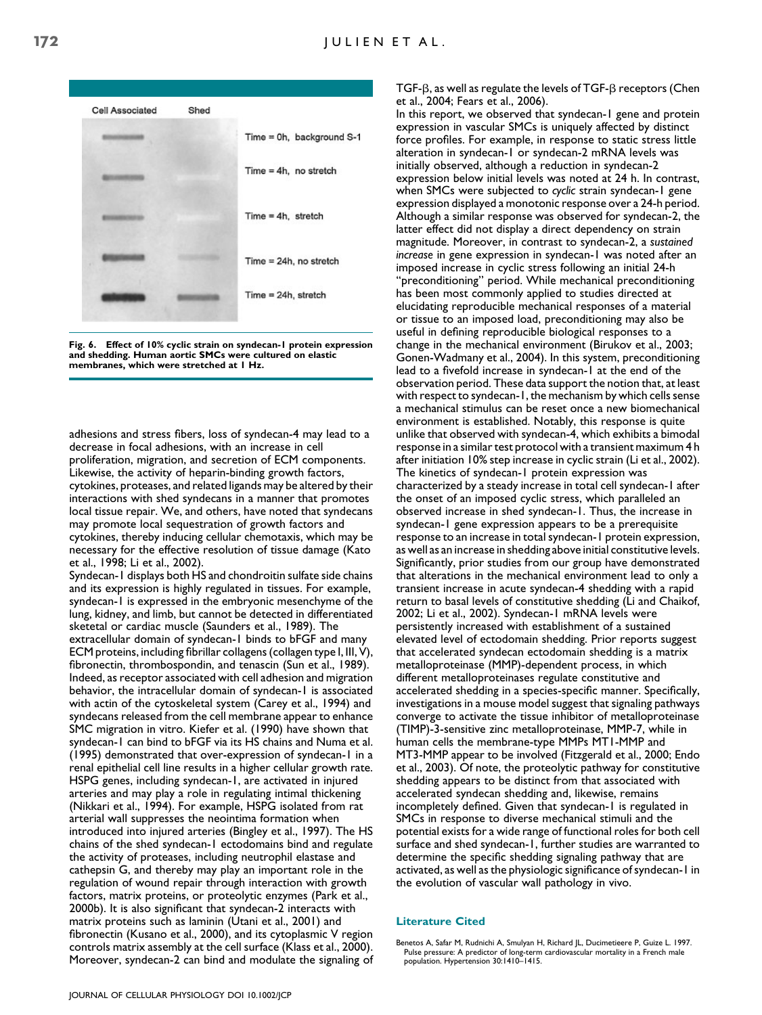

Fig. 6. Effect of 10% cyclic strain on syndecan-1 protein expression and shedding. Human aortic SMCs were cultured on elastic membranes, which were stretched at 1 Hz.

adhesions and stress fibers, loss of syndecan-4 may lead to a decrease in focal adhesions, with an increase in cell proliferation, migration, and secretion of ECM components. Likewise, the activity of heparin-binding growth factors, cytokines, proteases, and related ligands may be altered by their interactions with shed syndecans in a manner that promotes local tissue repair. We, and others, have noted that syndecans may promote local sequestration of growth factors and cytokines, thereby inducing cellular chemotaxis, which may be necessary for the effective resolution of tissue damage (Kato et al., 1998; Li et al., 2002).

Syndecan-1 displays both HS and chondroitin sulfate side chains and its expression is highly regulated in tissues. For example, syndecan-1 is expressed in the embryonic mesenchyme of the lung, kidney, and limb, but cannot be detected in differentiated sketetal or cardiac muscle (Saunders et al., 1989). The extracellular domain of syndecan-1 binds to bFGF and many ECM proteins, including fibrillar collagens (collagen type I, III, V), fibronectin, thrombospondin, and tenascin (Sun et al., 1989). Indeed, as receptor associated with cell adhesion and migration behavior, the intracellular domain of syndecan-1 is associated with actin of the cytoskeletal system (Carey et al., 1994) and syndecans released from the cell membrane appear to enhance SMC migration in vitro. Kiefer et al. (1990) have shown that syndecan-1 can bind to bFGF via its HS chains and Numa et al. (1995) demonstrated that over-expression of syndecan-1 in a renal epithelial cell line results in a higher cellular growth rate. HSPG genes, including syndecan-1, are activated in injured arteries and may play a role in regulating intimal thickening (Nikkari et al., 1994). For example, HSPG isolated from rat arterial wall suppresses the neointima formation when introduced into injured arteries (Bingley et al., 1997). The HS chains of the shed syndecan-1 ectodomains bind and regulate the activity of proteases, including neutrophil elastase and cathepsin G, and thereby may play an important role in the regulation of wound repair through interaction with growth factors, matrix proteins, or proteolytic enzymes (Park et al., 2000b). It is also significant that syndecan-2 interacts with matrix proteins such as laminin (Utani et al., 2001) and fibronectin (Kusano et al., 2000), and its cytoplasmic V region controls matrix assembly at the cell surface (Klass et al., 2000). Moreover, syndecan-2 can bind and modulate the signaling of TGF- $\beta$ , as well as regulate the levels of TGF- $\beta$  receptors (Chen et al., 2004; Fears et al., 2006).

In this report, we observed that syndecan-1 gene and protein expression in vascular SMCs is uniquely affected by distinct force profiles. For example, in response to static stress little alteration in syndecan-1 or syndecan-2 mRNA levels was initially observed, although a reduction in syndecan-2 expression below initial levels was noted at 24 h. In contrast, when SMCs were subjected to cyclic strain syndecan-1 gene expression displayed a monotonic response over a 24-h period. Although a similar response was observed for syndecan-2, the latter effect did not display a direct dependency on strain magnitude. Moreover, in contrast to syndecan-2, a sustained increase in gene expression in syndecan-1 was noted after an imposed increase in cyclic stress following an initial 24-h ''preconditioning'' period. While mechanical preconditioning has been most commonly applied to studies directed at elucidating reproducible mechanical responses of a material or tissue to an imposed load, preconditioning may also be useful in defining reproducible biological responses to a change in the mechanical environment (Birukov et al., 2003; Gonen-Wadmany et al., 2004). In this system, preconditioning lead to a fivefold increase in syndecan-1 at the end of the observation period. These data support the notion that, at least with respect to syndecan-1, the mechanism by which cells sense a mechanical stimulus can be reset once a new biomechanical environment is established. Notably, this response is quite unlike that observed with syndecan-4, which exhibits a bimodal response in a similar test protocol with a transient maximum 4 h after initiation 10% step increase in cyclic strain (Li et al., 2002). The kinetics of syndecan-1 protein expression was characterized by a steady increase in total cell syndecan-1 after the onset of an imposed cyclic stress, which paralleled an observed increase in shed syndecan-1. Thus, the increase in syndecan-1 gene expression appears to be a prerequisite response to an increase in total syndecan-1 protein expression, as well as an increase in shedding above initial constitutive levels. Significantly, prior studies from our group have demonstrated that alterations in the mechanical environment lead to only a transient increase in acute syndecan-4 shedding with a rapid return to basal levels of constitutive shedding (Li and Chaikof, 2002; Li et al., 2002). Syndecan-1 mRNA levels were persistently increased with establishment of a sustained elevated level of ectodomain shedding. Prior reports suggest that accelerated syndecan ectodomain shedding is a matrix metalloproteinase (MMP)-dependent process, in which different metalloproteinases regulate constitutive and accelerated shedding in a species-specific manner. Specifically, investigations in a mouse model suggest that signaling pathways converge to activate the tissue inhibitor of metalloproteinase (TIMP)-3-sensitive zinc metalloproteinase, MMP-7, while in human cells the membrane-type MMPs MT1-MMP and MT3-MMP appear to be involved (Fitzgerald et al., 2000; Endo et al., 2003). Of note, the proteolytic pathway for constitutive shedding appears to be distinct from that associated with accelerated syndecan shedding and, likewise, remains incompletely defined. Given that syndecan-1 is regulated in SMCs in response to diverse mechanical stimuli and the potential exists for a wide range of functional roles for both cell surface and shed syndecan-1, further studies are warranted to determine the specific shedding signaling pathway that are activated, as well as the physiologic significance of syndecan-1 in the evolution of vascular wall pathology in vivo.

#### Literature Cited

Benetos A, Safar M, Rudnichi A, Smulyan H, Richard JL, Ducimetieere P, Guize L. 1997. Pulse pressure: A predictor of long-term cardiovascular mortality in a French male population. Hypertension 30:1410–1415.